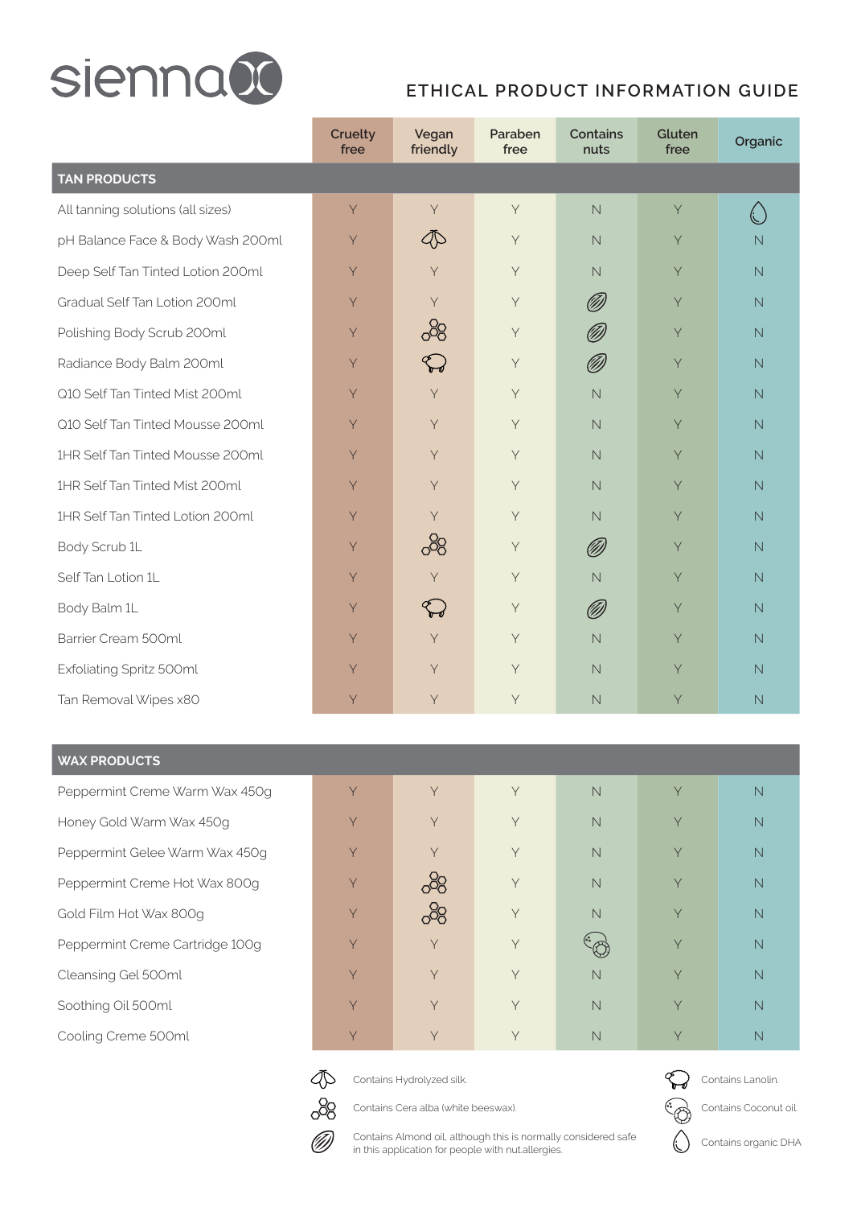

## **ETHICAL PRODUCT INFORMATION GUIDE**

|                                   | Cruelty<br>free | Vegan<br>friendly | Paraben<br>free | <b>Contains</b><br>nuts | Gluten<br>free | Organic                 |  |  |  |
|-----------------------------------|-----------------|-------------------|-----------------|-------------------------|----------------|-------------------------|--|--|--|
| <b>TAN PRODUCTS</b>               |                 |                   |                 |                         |                |                         |  |  |  |
| All tanning solutions (all sizes) | Y               | Y                 | $\mathsf Y$     | $\mathbb N$             | Y              | €                       |  |  |  |
| pH Balance Face & Body Wash 200ml | Y               | D                 | Y               | $\overline{\mathsf{N}}$ | Y              | $\overline{N}$          |  |  |  |
| Deep Self Tan Tinted Lotion 200ml | Y               | Y                 | Y               | $\overline{\mathsf{N}}$ | Y              | $\mathbb N$             |  |  |  |
| Gradual Self Tan Lotion 200ml     | Y               | $\mathsf{Y}$      | $\mathsf Y$     | Ø)                      | Y              | N                       |  |  |  |
| Polishing Body Scrub 200ml        | Y               | 8                 | $\mathsf Y$     | Ø)                      | Y              | $\mathbb N$             |  |  |  |
| Radiance Body Balm 200ml          | Y               | $\bigoplus$       | Y               | Ø                       | Y              | $\mathbb N$             |  |  |  |
| Q10 Self Tan Tinted Mist 200ml    | Y               | Y                 | Y               | $\overline{\mathsf{N}}$ | Y              | N                       |  |  |  |
| Q10 Self Tan Tinted Mousse 200ml  | Y               | Y                 | Y               | $\mathbb N$             | Y              | N                       |  |  |  |
| 1HR Self Tan Tinted Mousse 200ml  | Y               | Y                 | Y               | $\mathbb N$             | Y              | N                       |  |  |  |
| 1HR Self Tan Tinted Mist 200ml    | Y               | Y                 | Y               | $\overline{\mathsf{N}}$ | Y              | $\mathbb N$             |  |  |  |
| 1HR Self Tan Tinted Lotion 200ml  | Y               | Y                 | Y               | $\overline{\mathsf{N}}$ | Y              | $\overline{\mathsf{N}}$ |  |  |  |
| Body Scrub 1L                     | Y               | 88                | $\mathsf Y$     | Ø                       | Y              | $\overline{N}$          |  |  |  |
| Self Tan Lotion 1L                | Y               | Y                 | $\mathsf Y$     | $\mathbb N$             | Y              | $\overline{N}$          |  |  |  |
| Body Balm 1L                      | Y               | $\bigoplus$       | $\mathsf Y$     | Ø)                      | Y              | $\overline{\mathsf{N}}$ |  |  |  |
| Barrier Cream 500ml               | Y               | Y                 | Y               | $\overline{\mathsf{N}}$ | Y              | $\overline{\mathsf{N}}$ |  |  |  |
| Exfoliating Spritz 500ml          | Y               | Y                 | Y               | $\mathbb N$             | Y              | $\overline{N}$          |  |  |  |
| Tan Removal Wipes x80             | Y               | $\mathsf Y$       | $\mathsf Y$     | $\mathbb N$             | Y              | N                       |  |  |  |

## **WAX PRODUCTS**

Peppermint Creme Warm Wax 450g Honey Gold Warm Wax 450g Peppermint Gelee Warm Wax 450g Peppermint Creme Hot Wax 800g Gold Film Hot Wax 800g Peppermint Creme Cartridge 100g Cleansing Gel 500ml Soothing Oil 500ml Cooling Creme 500ml

| Y | Y   | Y           | $\overline{\mathsf{N}}$ | Y | $\overline{\mathsf{N}}$ |
|---|-----|-------------|-------------------------|---|-------------------------|
| Y | Y   | Y           | $\overline{\mathsf{N}}$ | Y | $\overline{\mathsf{N}}$ |
| Y | Y   | Y           | $\overline{\mathsf{N}}$ | Y | $\overline{\mathsf{N}}$ |
| Y | ෯   | Y           | $\overline{\mathsf{N}}$ | Y | $\overline{\mathsf{N}}$ |
| Y | ුදි | $\mathsf Y$ | $\overline{\mathsf{N}}$ | Y | $\overline{\mathsf{N}}$ |
| Y | Y   | $\mathsf Y$ |                         | Y | $\overline{\mathsf{N}}$ |
| Y | Y   | Y           | $\overline{\mathsf{N}}$ | Y | $\overline{\mathsf{N}}$ |
| Y | Y   | Y           | $\overline{\mathsf{N}}$ | Y | $\overline{\mathsf{N}}$ |
| Y | Y   | Y           | $\overline{\mathsf{N}}$ | Y | $\overline{\mathsf{N}}$ |



Contains Hydrolyzed silk.

Contains Cera alba (white beeswax).



Contains Lanolin.

Contains Coconut oil.

Contains organic DHA



Contains Almond oil, although this is normally considered safe in this application for people with nut.allergies.